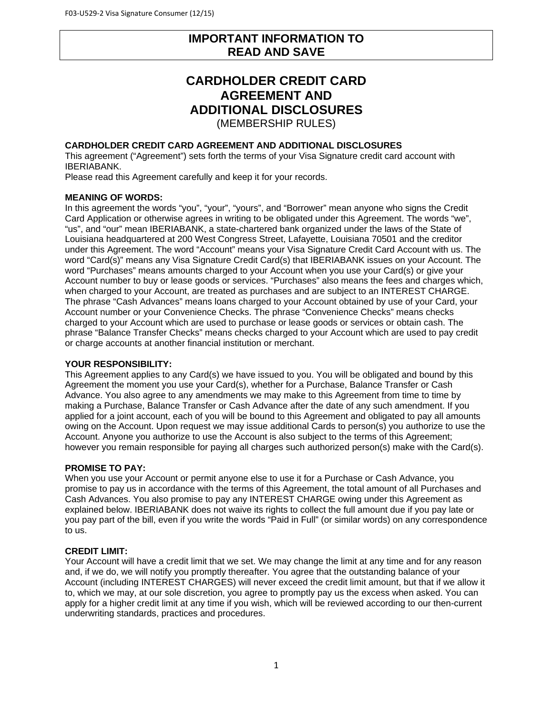# **IMPORTANT INFORMATION TO READ AND SAVE**

# **CARDHOLDER CREDIT CARD AGREEMENT AND ADDITIONAL DISCLOSURES**  (MEMBERSHIP RULES)

## **CARDHOLDER CREDIT CARD AGREEMENT AND ADDITIONAL DISCLOSURES**

This agreement ("Agreement") sets forth the terms of your Visa Signature credit card account with IBERIABANK.

Please read this Agreement carefully and keep it for your records.

#### **MEANING OF WORDS:**

In this agreement the words "you", "your", "yours", and "Borrower" mean anyone who signs the Credit Card Application or otherwise agrees in writing to be obligated under this Agreement. The words "we", "us", and "our" mean IBERIABANK, a state-chartered bank organized under the laws of the State of Louisiana headquartered at 200 West Congress Street, Lafayette, Louisiana 70501 and the creditor under this Agreement. The word "Account" means your Visa Signature Credit Card Account with us. The word "Card(s)" means any Visa Signature Credit Card(s) that IBERIABANK issues on your Account. The word "Purchases" means amounts charged to your Account when you use your Card(s) or give your Account number to buy or lease goods or services. "Purchases" also means the fees and charges which, when charged to your Account, are treated as purchases and are subject to an INTEREST CHARGE. The phrase "Cash Advances" means loans charged to your Account obtained by use of your Card, your Account number or your Convenience Checks. The phrase "Convenience Checks" means checks charged to your Account which are used to purchase or lease goods or services or obtain cash. The phrase "Balance Transfer Checks" means checks charged to your Account which are used to pay credit or charge accounts at another financial institution or merchant.

#### **YOUR RESPONSIBILITY:**

This Agreement applies to any Card(s) we have issued to you. You will be obligated and bound by this Agreement the moment you use your Card(s), whether for a Purchase, Balance Transfer or Cash Advance. You also agree to any amendments we may make to this Agreement from time to time by making a Purchase, Balance Transfer or Cash Advance after the date of any such amendment. If you applied for a joint account, each of you will be bound to this Agreement and obligated to pay all amounts owing on the Account. Upon request we may issue additional Cards to person(s) you authorize to use the Account. Anyone you authorize to use the Account is also subject to the terms of this Agreement; however you remain responsible for paying all charges such authorized person(s) make with the Card(s).

## **PROMISE TO PAY:**

When you use your Account or permit anyone else to use it for a Purchase or Cash Advance, you promise to pay us in accordance with the terms of this Agreement, the total amount of all Purchases and Cash Advances. You also promise to pay any INTEREST CHARGE owing under this Agreement as explained below. IBERIABANK does not waive its rights to collect the full amount due if you pay late or you pay part of the bill, even if you write the words "Paid in Full" (or similar words) on any correspondence to us.

## **CREDIT LIMIT:**

Your Account will have a credit limit that we set. We may change the limit at any time and for any reason and, if we do, we will notify you promptly thereafter. You agree that the outstanding balance of your Account (including INTEREST CHARGES) will never exceed the credit limit amount, but that if we allow it to, which we may, at our sole discretion, you agree to promptly pay us the excess when asked. You can apply for a higher credit limit at any time if you wish, which will be reviewed according to our then-current underwriting standards, practices and procedures.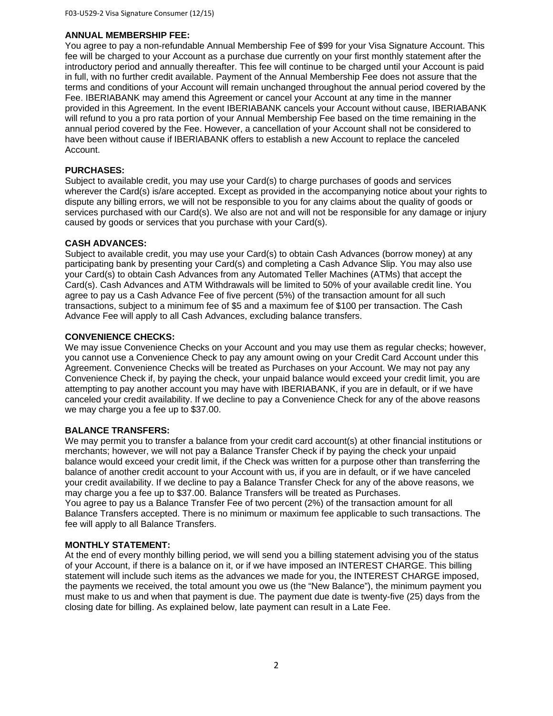### **ANNUAL MEMBERSHIP FEE:**

You agree to pay a non-refundable Annual Membership Fee of \$99 for your Visa Signature Account. This fee will be charged to your Account as a purchase due currently on your first monthly statement after the introductory period and annually thereafter. This fee will continue to be charged until your Account is paid in full, with no further credit available. Payment of the Annual Membership Fee does not assure that the terms and conditions of your Account will remain unchanged throughout the annual period covered by the Fee. IBERIABANK may amend this Agreement or cancel your Account at any time in the manner provided in this Agreement. In the event IBERIABANK cancels your Account without cause, IBERIABANK will refund to you a pro rata portion of your Annual Membership Fee based on the time remaining in the annual period covered by the Fee. However, a cancellation of your Account shall not be considered to have been without cause if IBERIABANK offers to establish a new Account to replace the canceled Account.

#### **PURCHASES:**

Subject to available credit, you may use your Card(s) to charge purchases of goods and services wherever the Card(s) is/are accepted. Except as provided in the accompanying notice about your rights to dispute any billing errors, we will not be responsible to you for any claims about the quality of goods or services purchased with our Card(s). We also are not and will not be responsible for any damage or injury caused by goods or services that you purchase with your Card(s).

## **CASH ADVANCES:**

Subject to available credit, you may use your Card(s) to obtain Cash Advances (borrow money) at any participating bank by presenting your Card(s) and completing a Cash Advance Slip. You may also use your Card(s) to obtain Cash Advances from any Automated Teller Machines (ATMs) that accept the Card(s). Cash Advances and ATM Withdrawals will be limited to 50% of your available credit line. You agree to pay us a Cash Advance Fee of five percent (5%) of the transaction amount for all such transactions, subject to a minimum fee of \$5 and a maximum fee of \$100 per transaction. The Cash Advance Fee will apply to all Cash Advances, excluding balance transfers.

#### **CONVENIENCE CHECKS:**

We may issue Convenience Checks on your Account and you may use them as regular checks; however, you cannot use a Convenience Check to pay any amount owing on your Credit Card Account under this Agreement. Convenience Checks will be treated as Purchases on your Account. We may not pay any Convenience Check if, by paying the check, your unpaid balance would exceed your credit limit, you are attempting to pay another account you may have with IBERIABANK, if you are in default, or if we have canceled your credit availability. If we decline to pay a Convenience Check for any of the above reasons we may charge you a fee up to \$37.00.

## **BALANCE TRANSFERS:**

We may permit you to transfer a balance from your credit card account(s) at other financial institutions or merchants; however, we will not pay a Balance Transfer Check if by paying the check your unpaid balance would exceed your credit limit, if the Check was written for a purpose other than transferring the balance of another credit account to your Account with us, if you are in default, or if we have canceled your credit availability. If we decline to pay a Balance Transfer Check for any of the above reasons, we may charge you a fee up to \$37.00. Balance Transfers will be treated as Purchases. You agree to pay us a Balance Transfer Fee of two percent (2%) of the transaction amount for all Balance Transfers accepted. There is no minimum or maximum fee applicable to such transactions. The fee will apply to all Balance Transfers.

## **MONTHLY STATEMENT:**

At the end of every monthly billing period, we will send you a billing statement advising you of the status of your Account, if there is a balance on it, or if we have imposed an INTEREST CHARGE. This billing statement will include such items as the advances we made for you, the INTEREST CHARGE imposed, the payments we received, the total amount you owe us (the "New Balance"), the minimum payment you must make to us and when that payment is due. The payment due date is twenty-five (25) days from the closing date for billing. As explained below, late payment can result in a Late Fee.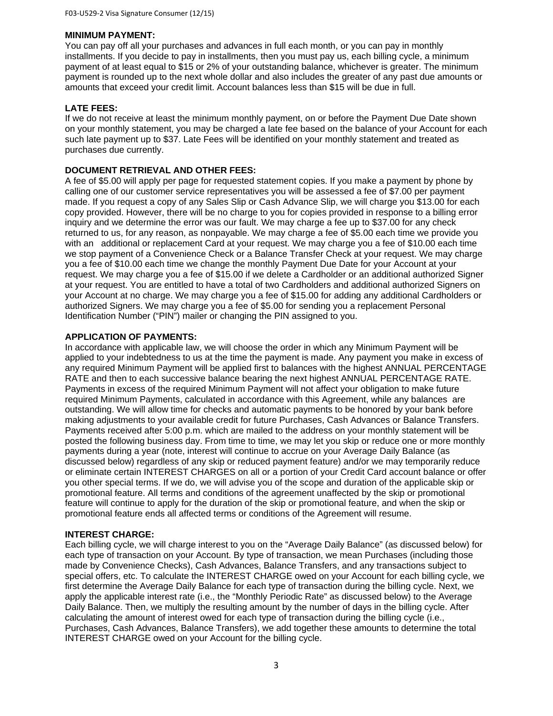## **MINIMUM PAYMENT:**

You can pay off all your purchases and advances in full each month, or you can pay in monthly installments. If you decide to pay in installments, then you must pay us, each billing cycle, a minimum payment of at least equal to \$15 or 2% of your outstanding balance, whichever is greater. The minimum payment is rounded up to the next whole dollar and also includes the greater of any past due amounts or amounts that exceed your credit limit. Account balances less than \$15 will be due in full.

## **LATE FEES:**

If we do not receive at least the minimum monthly payment, on or before the Payment Due Date shown on your monthly statement, you may be charged a late fee based on the balance of your Account for each such late payment up to \$37. Late Fees will be identified on your monthly statement and treated as purchases due currently.

# **DOCUMENT RETRIEVAL AND OTHER FEES:**

A fee of \$5.00 will apply per page for requested statement copies. If you make a payment by phone by calling one of our customer service representatives you will be assessed a fee of \$7.00 per payment made. If you request a copy of any Sales Slip or Cash Advance Slip, we will charge you \$13.00 for each copy provided. However, there will be no charge to you for copies provided in response to a billing error inquiry and we determine the error was our fault. We may charge a fee up to \$37.00 for any check returned to us, for any reason, as nonpayable. We may charge a fee of \$5.00 each time we provide you with an additional or replacement Card at your request. We may charge you a fee of \$10.00 each time we stop payment of a Convenience Check or a Balance Transfer Check at your request. We may charge you a fee of \$10.00 each time we change the monthly Payment Due Date for your Account at your request. We may charge you a fee of \$15.00 if we delete a Cardholder or an additional authorized Signer at your request. You are entitled to have a total of two Cardholders and additional authorized Signers on your Account at no charge. We may charge you a fee of \$15.00 for adding any additional Cardholders or authorized Signers. We may charge you a fee of \$5.00 for sending you a replacement Personal Identification Number ("PIN") mailer or changing the PIN assigned to you.

## **APPLICATION OF PAYMENTS:**

In accordance with applicable law, we will choose the order in which any Minimum Payment will be applied to your indebtedness to us at the time the payment is made. Any payment you make in excess of any required Minimum Payment will be applied first to balances with the highest ANNUAL PERCENTAGE RATE and then to each successive balance bearing the next highest ANNUAL PERCENTAGE RATE. Payments in excess of the required Minimum Payment will not affect your obligation to make future required Minimum Payments, calculated in accordance with this Agreement, while any balances are outstanding. We will allow time for checks and automatic payments to be honored by your bank before making adjustments to your available credit for future Purchases, Cash Advances or Balance Transfers. Payments received after 5:00 p.m. which are mailed to the address on your monthly statement will be posted the following business day. From time to time, we may let you skip or reduce one or more monthly payments during a year (note, interest will continue to accrue on your Average Daily Balance (as discussed below) regardless of any skip or reduced payment feature) and/or we may temporarily reduce or eliminate certain INTEREST CHARGES on all or a portion of your Credit Card account balance or offer you other special terms. If we do, we will advise you of the scope and duration of the applicable skip or promotional feature. All terms and conditions of the agreement unaffected by the skip or promotional feature will continue to apply for the duration of the skip or promotional feature, and when the skip or promotional feature ends all affected terms or conditions of the Agreement will resume.

## **INTEREST CHARGE:**

Each billing cycle, we will charge interest to you on the "Average Daily Balance" (as discussed below) for each type of transaction on your Account. By type of transaction, we mean Purchases (including those made by Convenience Checks), Cash Advances, Balance Transfers, and any transactions subject to special offers, etc. To calculate the INTEREST CHARGE owed on your Account for each billing cycle, we first determine the Average Daily Balance for each type of transaction during the billing cycle. Next, we apply the applicable interest rate (i.e., the "Monthly Periodic Rate" as discussed below) to the Average Daily Balance. Then, we multiply the resulting amount by the number of days in the billing cycle. After calculating the amount of interest owed for each type of transaction during the billing cycle (i.e., Purchases, Cash Advances, Balance Transfers), we add together these amounts to determine the total INTEREST CHARGE owed on your Account for the billing cycle.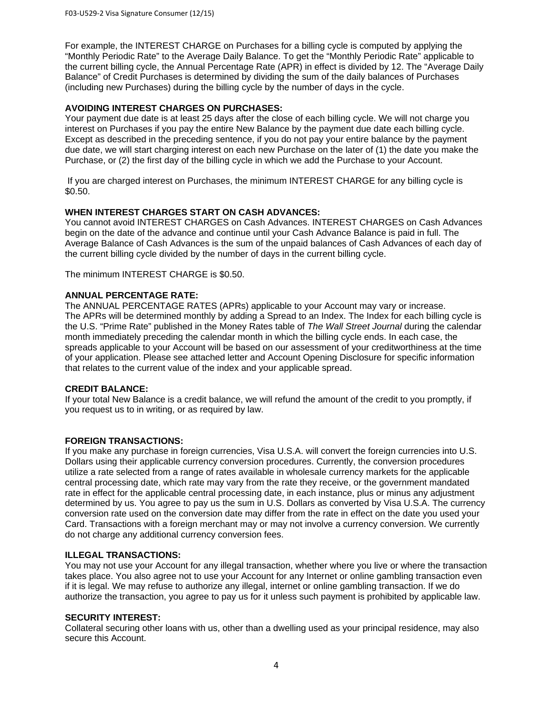For example, the INTEREST CHARGE on Purchases for a billing cycle is computed by applying the "Monthly Periodic Rate" to the Average Daily Balance. To get the "Monthly Periodic Rate" applicable to the current billing cycle, the Annual Percentage Rate (APR) in effect is divided by 12. The "Average Daily Balance" of Credit Purchases is determined by dividing the sum of the daily balances of Purchases (including new Purchases) during the billing cycle by the number of days in the cycle.

# **AVOIDING INTEREST CHARGES ON PURCHASES:**

Your payment due date is at least 25 days after the close of each billing cycle. We will not charge you interest on Purchases if you pay the entire New Balance by the payment due date each billing cycle. Except as described in the preceding sentence, if you do not pay your entire balance by the payment due date, we will start charging interest on each new Purchase on the later of (1) the date you make the Purchase, or (2) the first day of the billing cycle in which we add the Purchase to your Account.

 If you are charged interest on Purchases, the minimum INTEREST CHARGE for any billing cycle is \$0.50.

# **WHEN INTEREST CHARGES START ON CASH ADVANCES:**

You cannot avoid INTEREST CHARGES on Cash Advances. INTEREST CHARGES on Cash Advances begin on the date of the advance and continue until your Cash Advance Balance is paid in full. The Average Balance of Cash Advances is the sum of the unpaid balances of Cash Advances of each day of the current billing cycle divided by the number of days in the current billing cycle.

The minimum INTEREST CHARGE is \$0.50.

# **ANNUAL PERCENTAGE RATE:**

The ANNUAL PERCENTAGE RATES (APRs) applicable to your Account may vary or increase. The APRs will be determined monthly by adding a Spread to an Index. The Index for each billing cycle is the U.S. "Prime Rate" published in the Money Rates table of *The Wall Street Journal* during the calendar month immediately preceding the calendar month in which the billing cycle ends. In each case, the spreads applicable to your Account will be based on our assessment of your creditworthiness at the time of your application. Please see attached letter and Account Opening Disclosure for specific information that relates to the current value of the index and your applicable spread.

## **CREDIT BALANCE:**

If your total New Balance is a credit balance, we will refund the amount of the credit to you promptly, if you request us to in writing, or as required by law.

## **FOREIGN TRANSACTIONS:**

If you make any purchase in foreign currencies, Visa U.S.A. will convert the foreign currencies into U.S. Dollars using their applicable currency conversion procedures. Currently, the conversion procedures utilize a rate selected from a range of rates available in wholesale currency markets for the applicable central processing date, which rate may vary from the rate they receive, or the government mandated rate in effect for the applicable central processing date, in each instance, plus or minus any adjustment determined by us. You agree to pay us the sum in U.S. Dollars as converted by Visa U.S.A. The currency conversion rate used on the conversion date may differ from the rate in effect on the date you used your Card. Transactions with a foreign merchant may or may not involve a currency conversion. We currently do not charge any additional currency conversion fees.

## **ILLEGAL TRANSACTIONS:**

You may not use your Account for any illegal transaction, whether where you live or where the transaction takes place. You also agree not to use your Account for any Internet or online gambling transaction even if it is legal. We may refuse to authorize any illegal, internet or online gambling transaction. If we do authorize the transaction, you agree to pay us for it unless such payment is prohibited by applicable law.

## **SECURITY INTEREST:**

Collateral securing other loans with us, other than a dwelling used as your principal residence, may also secure this Account.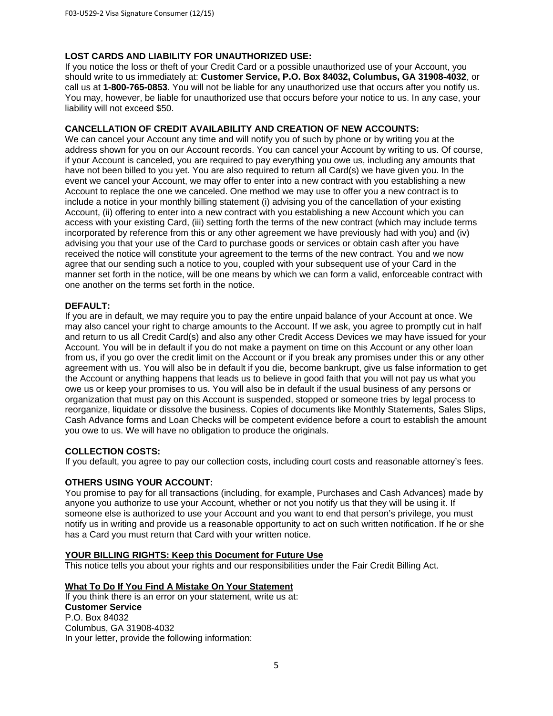# **LOST CARDS AND LIABILITY FOR UNAUTHORIZED USE:**

If you notice the loss or theft of your Credit Card or a possible unauthorized use of your Account, you should write to us immediately at: **Customer Service, P.O. Box 84032, Columbus, GA 31908-4032**, or call us at **1-800-765-0853**. You will not be liable for any unauthorized use that occurs after you notify us. You may, however, be liable for unauthorized use that occurs before your notice to us. In any case, your liability will not exceed \$50.

# **CANCELLATION OF CREDIT AVAILABILITY AND CREATION OF NEW ACCOUNTS:**

We can cancel your Account any time and will notify you of such by phone or by writing you at the address shown for you on our Account records. You can cancel your Account by writing to us. Of course, if your Account is canceled, you are required to pay everything you owe us, including any amounts that have not been billed to you yet. You are also required to return all Card(s) we have given you. In the event we cancel your Account, we may offer to enter into a new contract with you establishing a new Account to replace the one we canceled. One method we may use to offer you a new contract is to include a notice in your monthly billing statement (i) advising you of the cancellation of your existing Account, (ii) offering to enter into a new contract with you establishing a new Account which you can access with your existing Card, (iii) setting forth the terms of the new contract (which may include terms incorporated by reference from this or any other agreement we have previously had with you) and (iv) advising you that your use of the Card to purchase goods or services or obtain cash after you have received the notice will constitute your agreement to the terms of the new contract. You and we now agree that our sending such a notice to you, coupled with your subsequent use of your Card in the manner set forth in the notice, will be one means by which we can form a valid, enforceable contract with one another on the terms set forth in the notice.

# **DEFAULT:**

If you are in default, we may require you to pay the entire unpaid balance of your Account at once. We may also cancel your right to charge amounts to the Account. If we ask, you agree to promptly cut in half and return to us all Credit Card(s) and also any other Credit Access Devices we may have issued for your Account. You will be in default if you do not make a payment on time on this Account or any other loan from us, if you go over the credit limit on the Account or if you break any promises under this or any other agreement with us. You will also be in default if you die, become bankrupt, give us false information to get the Account or anything happens that leads us to believe in good faith that you will not pay us what you owe us or keep your promises to us. You will also be in default if the usual business of any persons or organization that must pay on this Account is suspended, stopped or someone tries by legal process to reorganize, liquidate or dissolve the business. Copies of documents like Monthly Statements, Sales Slips, Cash Advance forms and Loan Checks will be competent evidence before a court to establish the amount you owe to us. We will have no obligation to produce the originals.

## **COLLECTION COSTS:**

If you default, you agree to pay our collection costs, including court costs and reasonable attorney's fees.

# **OTHERS USING YOUR ACCOUNT:**

You promise to pay for all transactions (including, for example, Purchases and Cash Advances) made by anyone you authorize to use your Account, whether or not you notify us that they will be using it. If someone else is authorized to use your Account and you want to end that person's privilege, you must notify us in writing and provide us a reasonable opportunity to act on such written notification. If he or she has a Card you must return that Card with your written notice.

## **YOUR BILLING RIGHTS: Keep this Document for Future Use**

This notice tells you about your rights and our responsibilities under the Fair Credit Billing Act.

# **What To Do If You Find A Mistake On Your Statement**

If you think there is an error on your statement, write us at: **Customer Service**  P.O. Box 84032 Columbus, GA 31908-4032 In your letter, provide the following information: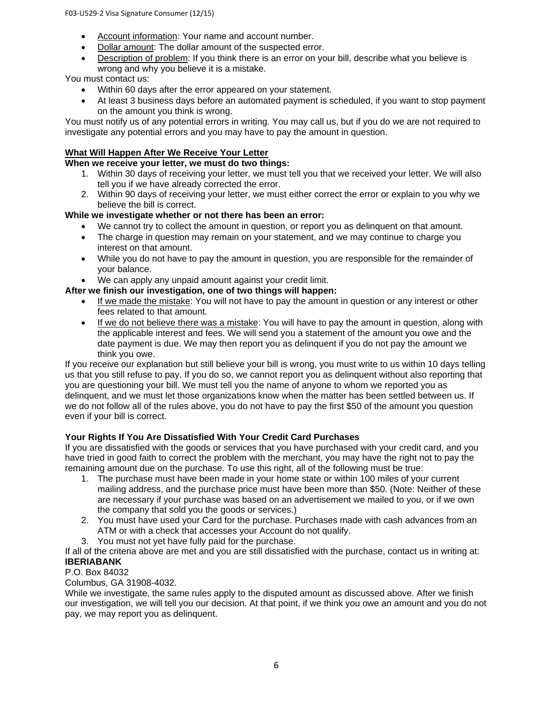- Account information: Your name and account number.
- Dollar amount: The dollar amount of the suspected error.
- Description of problem: If you think there is an error on your bill, describe what you believe is wrong and why you believe it is a mistake.

You must contact us:

- Within 60 days after the error appeared on your statement.
- At least 3 business days before an automated payment is scheduled, if you want to stop payment on the amount you think is wrong.

You must notify us of any potential errors in writing. You may call us, but if you do we are not required to investigate any potential errors and you may have to pay the amount in question.

# **What Will Happen After We Receive Your Letter**

# **When we receive your letter, we must do two things:**

- 1. Within 30 days of receiving your letter, we must tell you that we received your letter. We will also tell you if we have already corrected the error.
- 2. Within 90 days of receiving your letter, we must either correct the error or explain to you why we believe the bill is correct.

# **While we investigate whether or not there has been an error:**

- We cannot try to collect the amount in question, or report you as delinquent on that amount.
- The charge in question may remain on your statement, and we may continue to charge you interest on that amount.
- While you do not have to pay the amount in question, you are responsible for the remainder of your balance.
- We can apply any unpaid amount against your credit limit.

# **After we finish our investigation, one of two things will happen:**

- If we made the mistake: You will not have to pay the amount in question or any interest or other fees related to that amount.
- If we do not believe there was a mistake: You will have to pay the amount in question, along with the applicable interest and fees. We will send you a statement of the amount you owe and the date payment is due. We may then report you as delinquent if you do not pay the amount we think you owe.

If you receive our explanation but still believe your bill is wrong, you must write to us within 10 days telling us that you still refuse to pay. If you do so, we cannot report you as delinquent without also reporting that you are questioning your bill. We must tell you the name of anyone to whom we reported you as delinquent, and we must let those organizations know when the matter has been settled between us. If we do not follow all of the rules above, you do not have to pay the first \$50 of the amount you question even if your bill is correct.

# **Your Rights If You Are Dissatisfied With Your Credit Card Purchases**

If you are dissatisfied with the goods or services that you have purchased with your credit card, and you have tried in good faith to correct the problem with the merchant, you may have the right not to pay the remaining amount due on the purchase. To use this right, all of the following must be true:

- 1. The purchase must have been made in your home state or within 100 miles of your current mailing address, and the purchase price must have been more than \$50. (Note: Neither of these are necessary if your purchase was based on an advertisement we mailed to you, or if we own the company that sold you the goods or services.)
- 2. You must have used your Card for the purchase. Purchases made with cash advances from an ATM or with a check that accesses your Account do not qualify.
- 3. You must not yet have fully paid for the purchase.

If all of the criteria above are met and you are still dissatisfied with the purchase, contact us in writing at: **IBERIABANK** 

# P.O. Box 84032

Columbus, GA 31908-4032.

While we investigate, the same rules apply to the disputed amount as discussed above. After we finish our investigation, we will tell you our decision. At that point, if we think you owe an amount and you do not pay, we may report you as delinquent.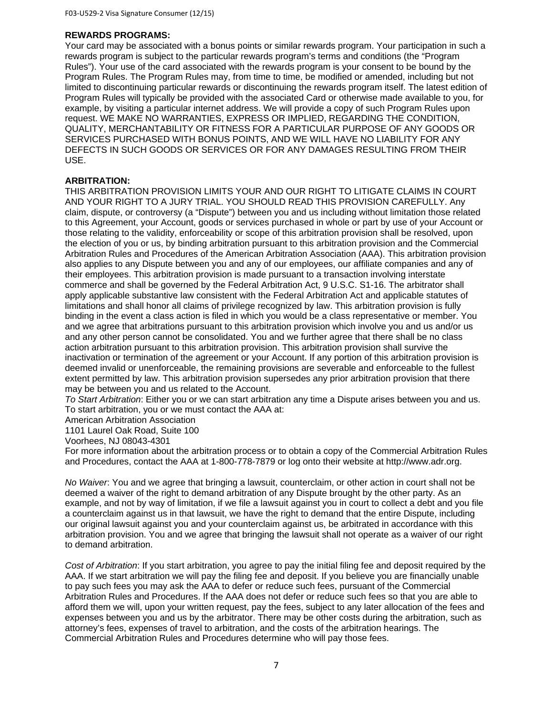### **REWARDS PROGRAMS:**

Your card may be associated with a bonus points or similar rewards program. Your participation in such a rewards program is subject to the particular rewards program's terms and conditions (the "Program Rules"). Your use of the card associated with the rewards program is your consent to be bound by the Program Rules. The Program Rules may, from time to time, be modified or amended, including but not limited to discontinuing particular rewards or discontinuing the rewards program itself. The latest edition of Program Rules will typically be provided with the associated Card or otherwise made available to you, for example, by visiting a particular internet address. We will provide a copy of such Program Rules upon request. WE MAKE NO WARRANTIES, EXPRESS OR IMPLIED, REGARDING THE CONDITION, QUALITY, MERCHANTABILITY OR FITNESS FOR A PARTICULAR PURPOSE OF ANY GOODS OR SERVICES PURCHASED WITH BONUS POINTS, AND WE WILL HAVE NO LIABILITY FOR ANY DEFECTS IN SUCH GOODS OR SERVICES OR FOR ANY DAMAGES RESULTING FROM THEIR USE.

## **ARBITRATION:**

THIS ARBITRATION PROVISION LIMITS YOUR AND OUR RIGHT TO LITIGATE CLAIMS IN COURT AND YOUR RIGHT TO A JURY TRIAL. YOU SHOULD READ THIS PROVISION CAREFULLY. Any claim, dispute, or controversy (a "Dispute") between you and us including without limitation those related to this Agreement, your Account, goods or services purchased in whole or part by use of your Account or those relating to the validity, enforceability or scope of this arbitration provision shall be resolved, upon the election of you or us, by binding arbitration pursuant to this arbitration provision and the Commercial Arbitration Rules and Procedures of the American Arbitration Association (AAA). This arbitration provision also applies to any Dispute between you and any of our employees, our affiliate companies and any of their employees. This arbitration provision is made pursuant to a transaction involving interstate commerce and shall be governed by the Federal Arbitration Act, 9 U.S.C. S1-16. The arbitrator shall apply applicable substantive law consistent with the Federal Arbitration Act and applicable statutes of limitations and shall honor all claims of privilege recognized by law. This arbitration provision is fully binding in the event a class action is filed in which you would be a class representative or member. You and we agree that arbitrations pursuant to this arbitration provision which involve you and us and/or us and any other person cannot be consolidated. You and we further agree that there shall be no class action arbitration pursuant to this arbitration provision. This arbitration provision shall survive the inactivation or termination of the agreement or your Account. If any portion of this arbitration provision is deemed invalid or unenforceable, the remaining provisions are severable and enforceable to the fullest extent permitted by law. This arbitration provision supersedes any prior arbitration provision that there may be between you and us related to the Account.

*To Start Arbitration*: Either you or we can start arbitration any time a Dispute arises between you and us. To start arbitration, you or we must contact the AAA at:

American Arbitration Association

1101 Laurel Oak Road, Suite 100

Voorhees, NJ 08043-4301

For more information about the arbitration process or to obtain a copy of the Commercial Arbitration Rules and Procedures, contact the AAA at 1-800-778-7879 or log onto their website at http://www.adr.org.

*No Waiver*: You and we agree that bringing a lawsuit, counterclaim, or other action in court shall not be deemed a waiver of the right to demand arbitration of any Dispute brought by the other party. As an example, and not by way of limitation, if we file a lawsuit against you in court to collect a debt and you file a counterclaim against us in that lawsuit, we have the right to demand that the entire Dispute, including our original lawsuit against you and your counterclaim against us, be arbitrated in accordance with this arbitration provision. You and we agree that bringing the lawsuit shall not operate as a waiver of our right to demand arbitration.

*Cost of Arbitration*: If you start arbitration, you agree to pay the initial filing fee and deposit required by the AAA. If we start arbitration we will pay the filing fee and deposit. If you believe you are financially unable to pay such fees you may ask the AAA to defer or reduce such fees, pursuant of the Commercial Arbitration Rules and Procedures. If the AAA does not defer or reduce such fees so that you are able to afford them we will, upon your written request, pay the fees, subject to any later allocation of the fees and expenses between you and us by the arbitrator. There may be other costs during the arbitration, such as attorney's fees, expenses of travel to arbitration, and the costs of the arbitration hearings. The Commercial Arbitration Rules and Procedures determine who will pay those fees.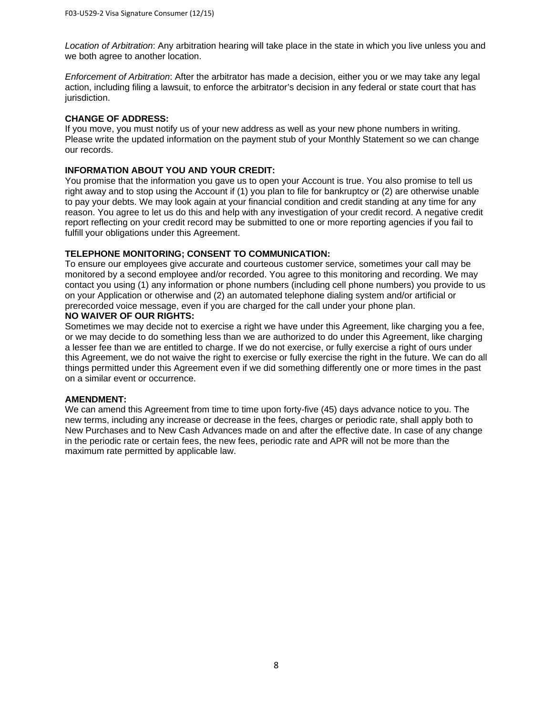*Location of Arbitration*: Any arbitration hearing will take place in the state in which you live unless you and we both agree to another location.

*Enforcement of Arbitration*: After the arbitrator has made a decision, either you or we may take any legal action, including filing a lawsuit, to enforce the arbitrator's decision in any federal or state court that has jurisdiction.

# **CHANGE OF ADDRESS:**

If you move, you must notify us of your new address as well as your new phone numbers in writing. Please write the updated information on the payment stub of your Monthly Statement so we can change our records.

# **INFORMATION ABOUT YOU AND YOUR CREDIT:**

You promise that the information you gave us to open your Account is true. You also promise to tell us right away and to stop using the Account if (1) you plan to file for bankruptcy or (2) are otherwise unable to pay your debts. We may look again at your financial condition and credit standing at any time for any reason. You agree to let us do this and help with any investigation of your credit record. A negative credit report reflecting on your credit record may be submitted to one or more reporting agencies if you fail to fulfill your obligations under this Agreement.

# **TELEPHONE MONITORING; CONSENT TO COMMUNICATION:**

To ensure our employees give accurate and courteous customer service, sometimes your call may be monitored by a second employee and/or recorded. You agree to this monitoring and recording. We may contact you using (1) any information or phone numbers (including cell phone numbers) you provide to us on your Application or otherwise and (2) an automated telephone dialing system and/or artificial or prerecorded voice message, even if you are charged for the call under your phone plan.

# **NO WAIVER OF OUR RIGHTS:**

Sometimes we may decide not to exercise a right we have under this Agreement, like charging you a fee, or we may decide to do something less than we are authorized to do under this Agreement, like charging a lesser fee than we are entitled to charge. If we do not exercise, or fully exercise a right of ours under this Agreement, we do not waive the right to exercise or fully exercise the right in the future. We can do all things permitted under this Agreement even if we did something differently one or more times in the past on a similar event or occurrence.

# **AMENDMENT:**

We can amend this Agreement from time to time upon forty-five (45) days advance notice to you. The new terms, including any increase or decrease in the fees, charges or periodic rate, shall apply both to New Purchases and to New Cash Advances made on and after the effective date. In case of any change in the periodic rate or certain fees, the new fees, periodic rate and APR will not be more than the maximum rate permitted by applicable law.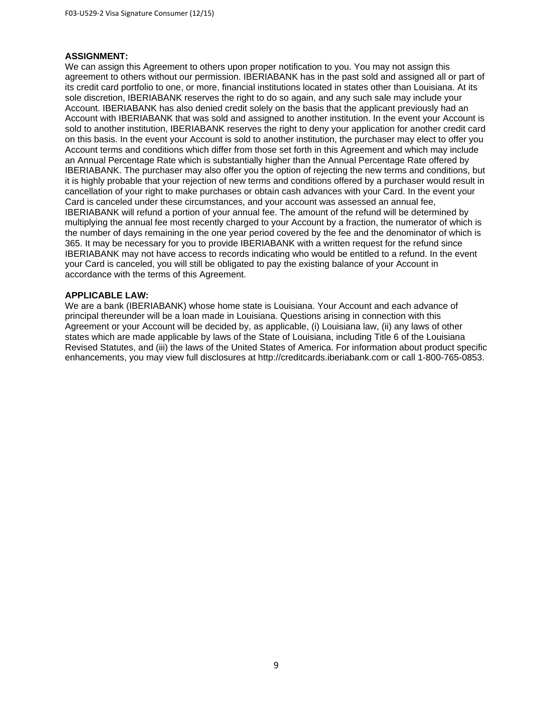## **ASSIGNMENT:**

We can assign this Agreement to others upon proper notification to you. You may not assign this agreement to others without our permission. IBERIABANK has in the past sold and assigned all or part of its credit card portfolio to one, or more, financial institutions located in states other than Louisiana. At its sole discretion, IBERIABANK reserves the right to do so again, and any such sale may include your Account. IBERIABANK has also denied credit solely on the basis that the applicant previously had an Account with IBERIABANK that was sold and assigned to another institution. In the event your Account is sold to another institution, IBERIABANK reserves the right to deny your application for another credit card on this basis. In the event your Account is sold to another institution, the purchaser may elect to offer you Account terms and conditions which differ from those set forth in this Agreement and which may include an Annual Percentage Rate which is substantially higher than the Annual Percentage Rate offered by IBERIABANK. The purchaser may also offer you the option of rejecting the new terms and conditions, but it is highly probable that your rejection of new terms and conditions offered by a purchaser would result in cancellation of your right to make purchases or obtain cash advances with your Card. In the event your Card is canceled under these circumstances, and your account was assessed an annual fee, IBERIABANK will refund a portion of your annual fee. The amount of the refund will be determined by multiplying the annual fee most recently charged to your Account by a fraction, the numerator of which is the number of days remaining in the one year period covered by the fee and the denominator of which is 365. It may be necessary for you to provide IBERIABANK with a written request for the refund since IBERIABANK may not have access to records indicating who would be entitled to a refund. In the event your Card is canceled, you will still be obligated to pay the existing balance of your Account in accordance with the terms of this Agreement.

# **APPLICABLE LAW:**

We are a bank (IBERIABANK) whose home state is Louisiana. Your Account and each advance of principal thereunder will be a loan made in Louisiana. Questions arising in connection with this Agreement or your Account will be decided by, as applicable, (i) Louisiana law, (ii) any laws of other states which are made applicable by laws of the State of Louisiana, including Title 6 of the Louisiana Revised Statutes, and (iii) the laws of the United States of America. For information about product specific enhancements, you may view full disclosures at http://creditcards.iberiabank.com or call 1-800-765-0853.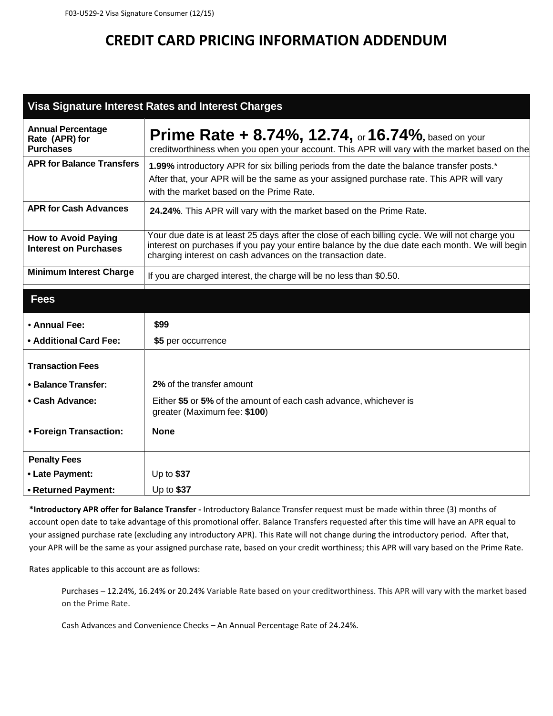# **CREDIT CARD PRICING INFORMATION ADDENDUM**

# **Visa Signature Interest Rates and Interest Charges**

| <b>Annual Percentage</b><br>Rate (APR) for<br><b>Purchases</b> | <b>Prime Rate + 8.74%, 12.74, or 16.74%, based on your</b><br>creditworthiness when you open your account. This APR will vary with the market based on the                                                                                                       |
|----------------------------------------------------------------|------------------------------------------------------------------------------------------------------------------------------------------------------------------------------------------------------------------------------------------------------------------|
| <b>APR for Balance Transfers</b>                               | 1.99% introductory APR for six billing periods from the date the balance transfer posts.*<br>After that, your APR will be the same as your assigned purchase rate. This APR will vary<br>with the market based on the Prime Rate.                                |
| <b>APR for Cash Advances</b>                                   | 24.24%. This APR will vary with the market based on the Prime Rate.                                                                                                                                                                                              |
| <b>How to Avoid Paying</b><br><b>Interest on Purchases</b>     | Your due date is at least 25 days after the close of each billing cycle. We will not charge you<br>interest on purchases if you pay your entire balance by the due date each month. We will begin<br>charging interest on cash advances on the transaction date. |
| <b>Minimum Interest Charge</b>                                 | If you are charged interest, the charge will be no less than \$0.50.                                                                                                                                                                                             |
| <b>Fees</b>                                                    |                                                                                                                                                                                                                                                                  |
| • Annual Fee:                                                  | \$99                                                                                                                                                                                                                                                             |
| • Additional Card Fee:                                         | \$5 per occurrence                                                                                                                                                                                                                                               |
| <b>Transaction Fees</b>                                        |                                                                                                                                                                                                                                                                  |
| • Balance Transfer:                                            | 2% of the transfer amount                                                                                                                                                                                                                                        |
| • Cash Advance:                                                | Either \$5 or 5% of the amount of each cash advance, whichever is<br>greater (Maximum fee: \$100)                                                                                                                                                                |
| • Foreign Transaction:                                         | <b>None</b>                                                                                                                                                                                                                                                      |
| <b>Penalty Fees</b>                                            |                                                                                                                                                                                                                                                                  |
| • Late Payment:                                                | Up to $$37$                                                                                                                                                                                                                                                      |
| • Returned Payment:                                            | Up to \$37                                                                                                                                                                                                                                                       |

**\*Introductory APR offer for Balance Transfer ‐** Introductory Balance Transfer request must be made within three (3) months of account open date to take advantage of this promotional offer. Balance Transfers requested after this time will have an APR equal to your assigned purchase rate (excluding any introductory APR). This Rate will not change during the introductory period. After that, your APR will be the same as your assigned purchase rate, based on your credit worthiness; this APR will vary based on the Prime Rate.

Rates applicable to this account are as follows:

Purchases – 12.24%, 16.24% or 20.24% Variable Rate based on your creditworthiness. This APR will vary with the market based on the Prime Rate.

Cash Advances and Convenience Checks – An Annual Percentage Rate of 24.24%.